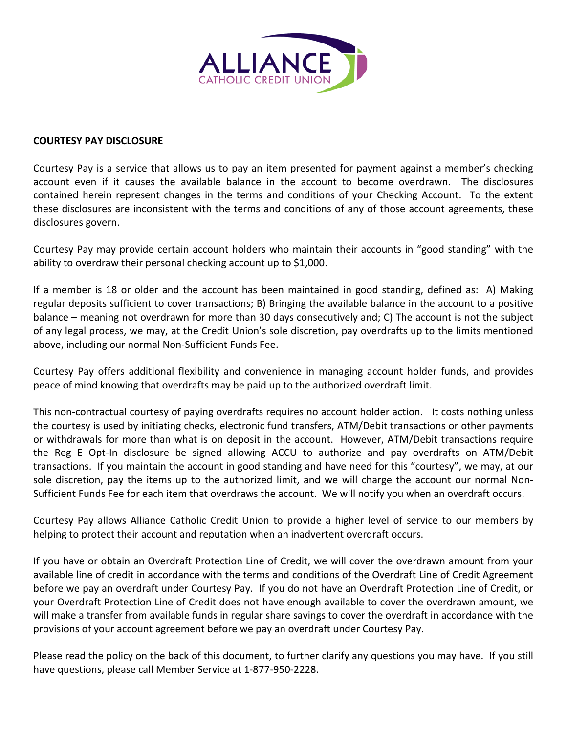

## **COURTESY PAY DISCLOSURE**

Courtesy Pay is a service that allows us to pay an item presented for payment against a member's checking account even if it causes the available balance in the account to become overdrawn. The disclosures contained herein represent changes in the terms and conditions of your Checking Account. To the extent these disclosures are inconsistent with the terms and conditions of any of those account agreements, these disclosures govern.

Courtesy Pay may provide certain account holders who maintain their accounts in "good standing" with the ability to overdraw their personal checking account up to \$1,000.

If a member is 18 or older and the account has been maintained in good standing, defined as: A) Making regular deposits sufficient to cover transactions; B) Bringing the available balance in the account to a positive balance – meaning not overdrawn for more than 30 days consecutively and; C) The account is not the subject of any legal process, we may, at the Credit Union's sole discretion, pay overdrafts up to the limits mentioned above, including our normal Non-Sufficient Funds Fee.

Courtesy Pay offers additional flexibility and convenience in managing account holder funds, and provides peace of mind knowing that overdrafts may be paid up to the authorized overdraft limit.

This non-contractual courtesy of paying overdrafts requires no account holder action. It costs nothing unless the courtesy is used by initiating checks, electronic fund transfers, ATM/Debit transactions or other payments or withdrawals for more than what is on deposit in the account. However, ATM/Debit transactions require the Reg E Opt-In disclosure be signed allowing ACCU to authorize and pay overdrafts on ATM/Debit transactions. If you maintain the account in good standing and have need for this "courtesy", we may, at our sole discretion, pay the items up to the authorized limit, and we will charge the account our normal Non-Sufficient Funds Fee for each item that overdraws the account. We will notify you when an overdraft occurs.

Courtesy Pay allows Alliance Catholic Credit Union to provide a higher level of service to our members by helping to protect their account and reputation when an inadvertent overdraft occurs.

If you have or obtain an Overdraft Protection Line of Credit, we will cover the overdrawn amount from your available line of credit in accordance with the terms and conditions of the Overdraft Line of Credit Agreement before we pay an overdraft under Courtesy Pay. If you do not have an Overdraft Protection Line of Credit, or your Overdraft Protection Line of Credit does not have enough available to cover the overdrawn amount, we will make a transfer from available funds in regular share savings to cover the overdraft in accordance with the provisions of your account agreement before we pay an overdraft under Courtesy Pay.

Please read the policy on the back of this document, to further clarify any questions you may have. If you still have questions, please call Member Service at 1-877-950-2228.